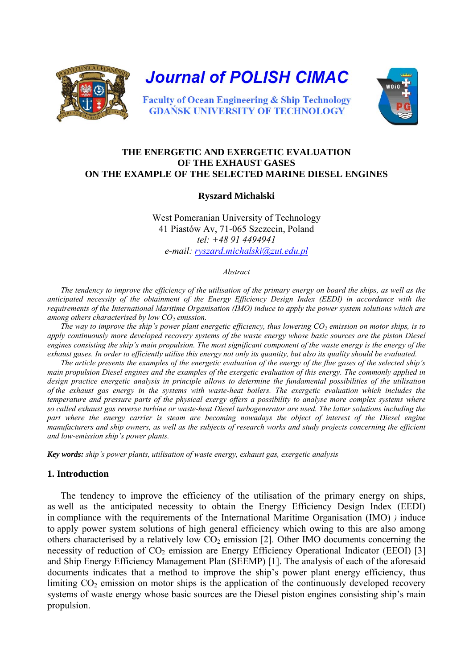

**Journal of POLISH CIMAC** 



**Faculty of Ocean Engineering & Ship Technology GDAŃSK UNIVERSITY OF TECHNOLOGY** 

# **THE ENERGETIC AND EXERGETIC EVALUATION OF THE EXHAUST GASES ON THE EXAMPLE OF THE SELECTED MARINE DIESEL ENGINES**

### **Ryszard Michalski**

West Pomeranian University of Technology 41 Piastów Av, 71-065 Szczecin, Poland *tel: +48 91 4494941 e-mail: [ryszard.michalski@zut.edu.pl](mailto:ryszard.michalski@zut.edu.pl)*

*Abstract* 

*The tendency to improve the efficiency of the utilisation of the primary energy on board the ships, as well as the anticipated necessity of the obtainment of the Energy Efficiency Design Index (EEDI) in accordance with the requirements of the International Maritime Organisation (IMO) induce to apply the power system solutions which are among others characterised by low CO<sub>2</sub> emission.* 

*The way to improve the ship's power plant energetic efficiency, thus lowering CO<sub>2</sub> emission on motor ships, is to apply continuously more developed recovery systems of the waste energy whose basic sources are the piston Diesel engines consisting the ship's main propulsion. The most significant component of the waste energy is the energy of the exhaust gases. In order to efficiently utilise this energy not only its quantity, but also its quality should be evaluated.* 

*The article presents the examples of the energetic evaluation of the energy of the flue gases of the selected ship's main propulsion Diesel engines and the examples of the exergetic evaluation of this energy. The commonly applied in design practice energetic analysis in principle allows to determine the fundamental possibilities of the utilisation of the exhaust gas energy in the systems with waste-heat boilers. The exergetic evaluation which includes the temperature and pressure parts of the physical exergy offers a possibility to analyse more complex systems where so called exhaust gas reverse turbine or waste-heat Diesel turbogenerator are used. The latter solutions including the part where the energy carrier is steam are becoming nowadays the object of interest of the Diesel engine manufacturers and ship owners, as well as the subjects of research works and study projects concerning the efficient and low-emission ship's power plants.* 

*Key words: ship's power plants, utilisation of waste energy, exhaust gas, exergetic analysis* 

#### **1. Introduction**

The tendency to improve the efficiency of the utilisation of the primary energy on ships, as well as the anticipated necessity to obtain the Energy Efficiency Design Index (EEDI) in compliance with the requirements of the International Maritime Organisation (IMO) *)* induce to apply power system solutions of high general efficiency which owing to this are also among others characterised by a relatively low  $CO<sub>2</sub>$  emission [2]. Other IMO documents concerning the necessity of reduction of  $CO<sub>2</sub>$  emission are Energy Efficiency Operational Indicator (EEOI) [3] and Ship Energy Efficiency Management Plan (SEEMP) [1]. The analysis of each of the aforesaid documents indicates that a method to improve the ship's power plant energy efficiency, thus limiting  $CO<sub>2</sub>$  emission on motor ships is the application of the continuously developed recovery systems of waste energy whose basic sources are the Diesel piston engines consisting ship's main propulsion.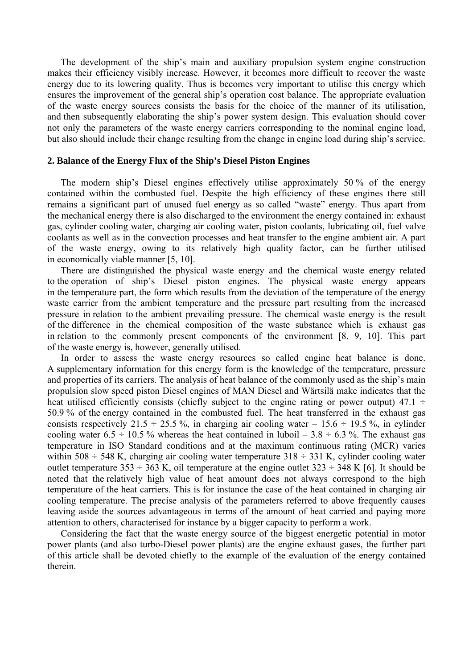The development of the ship's main and auxiliary propulsion system engine construction makes their efficiency visibly increase. However, it becomes more difficult to recover the waste energy due to its lowering quality. Thus is becomes very important to utilise this energy which ensures the improvement of the general ship's operation cost balance. The appropriate evaluation of the waste energy sources consists the basis for the choice of the manner of its utilisation, and then subsequently elaborating the ship's power system design. This evaluation should cover not only the parameters of the waste energy carriers corresponding to the nominal engine load, but also should include their change resulting from the change in engine load during ship's service.

#### **2. Balance of the Energy Flux of the Ship's Diesel Piston Engines**

The modern ship's Diesel engines effectively utilise approximately 50 % of the energy contained within the combusted fuel. Despite the high efficiency of these engines there still remains a significant part of unused fuel energy as so called "waste" energy. Thus apart from the mechanical energy there is also discharged to the environment the energy contained in: exhaust gas, cylinder cooling water, charging air cooling water, piston coolants, lubricating oil, fuel valve coolants as well as in the convection processes and heat transfer to the engine ambient air. A part of the waste energy, owing to its relatively high quality factor, can be further utilised in economically viable manner [5, 10].

There are distinguished the physical waste energy and the chemical waste energy related to the operation of ship's Diesel piston engines. The physical waste energy appears in the temperature part, the form which results from the deviation of the temperature of the energy waste carrier from the ambient temperature and the pressure part resulting from the increased pressure in relation to the ambient prevailing pressure. The chemical waste energy is the result of the difference in the chemical composition of the waste substance which is exhaust gas in relation to the commonly present components of the environment [8, 9, 10]. This part of the waste energy is, however, generally utilised.

In order to assess the waste energy resources so called engine heat balance is done. A supplementary information for this energy form is the knowledge of the temperature, pressure and properties of its carriers. The analysis of heat balance of the commonly used as the ship's main propulsion slow speed piston Diesel engines of MAN Diesel and Wärtsilä make indicates that the heat utilised efficiently consists (chiefly subject to the engine rating or power output) 47.1  $\div$ 50.9 % of the energy contained in the combusted fuel. The heat transferred in the exhaust gas consists respectively 21.5  $\div$  25.5 %, in charging air cooling water – 15.6  $\div$  19.5 %, in cylinder cooling water 6.5  $\div$  10.5 % whereas the heat contained in luboil – 3.8  $\div$  6.3 %. The exhaust gas temperature in ISO Standard conditions and at the maximum continuous rating (MCR) varies within 508  $\div$  548 K, charging air cooling water temperature 318  $\div$  331 K, cylinder cooling water outlet temperature 353  $\div$  363 K, oil temperature at the engine outlet 323  $\div$  348 K [6]. It should be noted that the relatively high value of heat amount does not always correspond to the high temperature of the heat carriers. This is for instance the case of the heat contained in charging air cooling temperature. The precise analysis of the parameters referred to above frequently causes leaving aside the sources advantageous in terms of the amount of heat carried and paying more attention to others, characterised for instance by a bigger capacity to perform a work.

Considering the fact that the waste energy source of the biggest energetic potential in motor power plants (and also turbo-Diesel power plants) are the engine exhaust gases, the further part of this article shall be devoted chiefly to the example of the evaluation of the energy contained therein.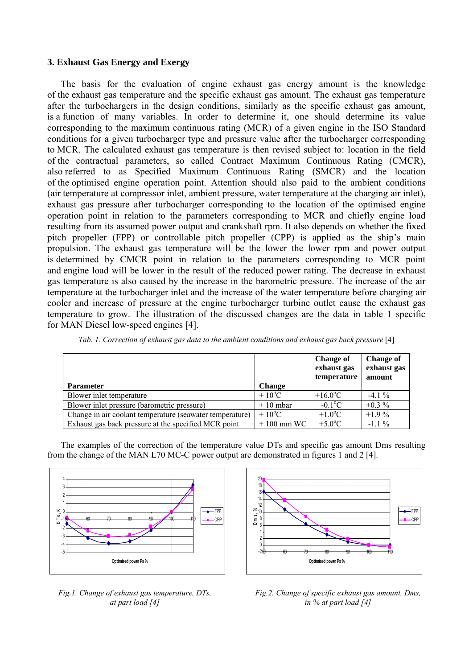## **3. Exhaust Gas Energy and Exergy**

The basis for the evaluation of engine exhaust gas energy amount is the knowledge of the exhaust gas temperature and the specific exhaust gas amount. The exhaust gas temperature after the turbochargers in the design conditions, similarly as the specific exhaust gas amount, is a function of many variables. In order to determine it, one should determine its value corresponding to the maximum continuous rating (MCR) of a given engine in the ISO Standard conditions for a given turbocharger type and pressure value after the turbocharger corresponding to MCR. The calculated exhaust gas temperature is then revised subject to: location in the field of the contractual parameters, so called Contract Maximum Continuous Rating (CMCR), also referred to as Specified Maximum Continuous Rating (SMCR) and the location of the optimised engine operation point. Attention should also paid to the ambient conditions (air temperature at compressor inlet, ambient pressure, water temperature at the charging air inlet), exhaust gas pressure after turbocharger corresponding to the location of the optimised engine operation point in relation to the parameters corresponding to MCR and chiefly engine load resulting from its assumed power output and crankshaft rpm. It also depends on whether the fixed pitch propeller (FPP) or controllable pitch propeller (CPP) is applied as the ship's main propulsion. The exhaust gas temperature will be the lower the lower rpm and power output is determined by CMCR point in relation to the parameters corresponding to MCR point and engine load will be lower in the result of the reduced power rating. The decrease in exhaust gas temperature is also caused by the increase in the barometric pressure. The increase of the air temperature at the turbocharger inlet and the increase of the water temperature before charging air cooler and increase of pressure at the engine turbocharger turbine outlet cause the exhaust gas temperature to grow. The illustration of the discussed changes are the data in table 1 specific for MAN Diesel low-speed engines [4].

|                                                          |                 | <b>Change of</b><br>exhaust gas<br>temperature | <b>Change of</b><br>exhaust gas<br>amount |
|----------------------------------------------------------|-----------------|------------------------------------------------|-------------------------------------------|
| <b>Parameter</b>                                         | <b>Change</b>   |                                                |                                           |
| Blower inlet temperature                                 | $+10^{\circ}$ C | $+16.0$ <sup>o</sup> C                         | $-4.1\%$                                  |
| Blower inlet pressure (barometric pressure)              | $+10$ mbar      | $-0.1$ <sup>o</sup> C                          | $+0.3\%$                                  |
| Change in air coolant temperature (seawater temperature) | $+10^{\circ}$ C | $+1.0$ <sup>o</sup> C                          | $+1.9\%$                                  |
| Exhaust gas back pressure at the specified MCR point     | $+100$ mm WC    | $+5.0$ <sup>o</sup> C                          | $-1.1\%$                                  |

*Tab. 1. Correction of exhaust gas data to the ambient conditions and exhaust gas back pressure* [4]

The examples of the correction of the temperature value DTs and specific gas amount Dms resulting from the change of the MAN L70 MC-C power output are demonstrated in figures 1 and 2 [4].



*Fig.1. Change of exhaust gas temperature, DTs, at part load [4]* 



*Fig.2. Change of specific exhaust gas amount, Dms, in % at part load [4]*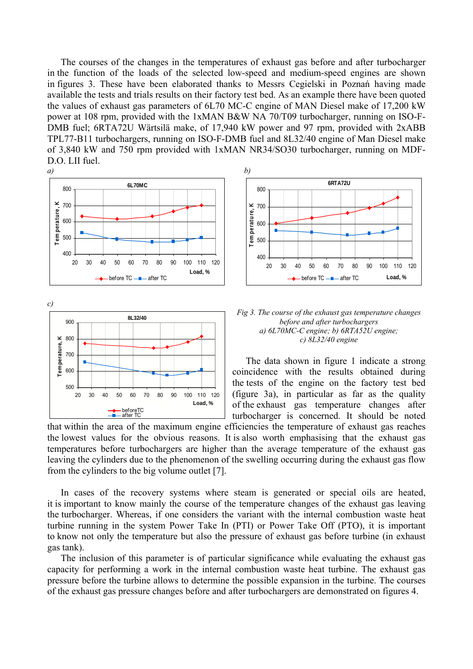The courses of the changes in the temperatures of exhaust gas before and after turbocharger in the function of the loads of the selected low-speed and medium-speed engines are shown in figures 3. These have been elaborated thanks to Messrs Cegielski in Poznań having made available the tests and trials results on their factory test bed. As an example there have been quoted the values of exhaust gas parameters of 6L70 MC-C engine of MAN Diesel make of 17,200 kW power at 108 rpm, provided with the 1xMAN B&W NA 70/T09 turbocharger, running on ISO-F-DMB fuel; 6RTA72U Wärtsilä make, of 17,940 kW power and 97 rpm, provided with 2xABB TPL77-B11 turbochargers, running on ISO-F-DMB fuel and 8L32/40 engine of Man Diesel make of 3,840 kW and 750 rpm provided with 1xMAN NR34/SO30 turbocharger, running on MDF-D.O. LII fuel.









The data shown in figure 1 indicate a strong coincidence with the results obtained during the tests of the engine on the factory test bed (figure 3a), in particular as far as the quality of the exhaust gas temperature changes after turbocharger is concerned. It should be noted

that within the area of the maximum engine efficiencies the temperature of exhaust gas reaches the lowest values for the obvious reasons. It is also worth emphasising that the exhaust gas temperatures before turbochargers are higher than the average temperature of the exhaust gas leaving the cylinders due to the phenomenon of the swelling occurring during the exhaust gas flow from the cylinders to the big volume outlet [7].

In cases of the recovery systems where steam is generated or special oils are heated, it is important to know mainly the course of the temperature changes of the exhaust gas leaving the turbocharger. Whereas, if one considers the variant with the internal combustion waste heat turbine running in the system Power Take In (PTI) or Power Take Off (PTO), it is important to know not only the temperature but also the pressure of exhaust gas before turbine (in exhaust gas tank).

The inclusion of this parameter is of particular significance while evaluating the exhaust gas capacity for performing a work in the internal combustion waste heat turbine. The exhaust gas pressure before the turbine allows to determine the possible expansion in the turbine. The courses of the exhaust gas pressure changes before and after turbochargers are demonstrated on figures 4.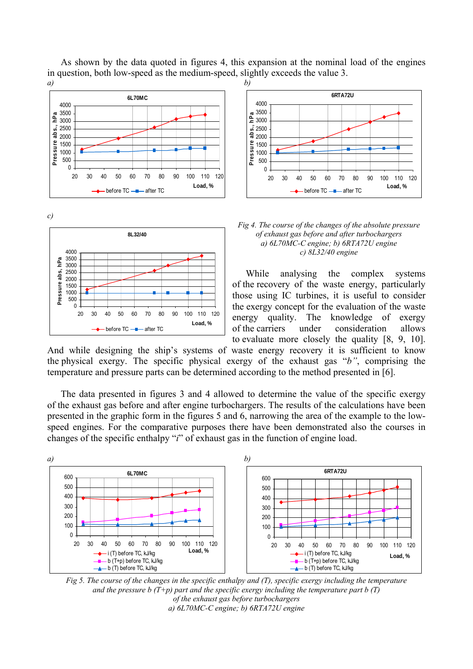

*c)* 





#### *Fig 4. The course of the changes of the absolute pressure*  **8L32/40** *of exhaust gas before and after turbochargers a) 6L70MC-C engine; b) 6RTA72U engine c) 8L32/40 engine*

While analysing the complex systems of the recovery of the waste energy, particularly those using IC turbines, it is useful to consider the exergy concept for the evaluation of the waste energy quality. The knowledge of exergy of the carriers under consideration allows to evaluate more closely the quality [8, 9, 10].

And while designing the ship's systems of waste energy recovery it is sufficient to know the physical exergy. The specific physical exergy of the exhaust gas "*b"*, comprising the temperature and pressure parts can be determined according to the method presented in [6].

As shown by the data quoted in figures 4, this expansion at the nominal load of the engines

The data presented in figures 3 and 4 allowed to determine the value of the specific exergy of the exhaust gas before and after engine turbochargers. The results of the calculations have been presented in the graphic form in the figures 5 and 6, narrowing the area of the example to the lowspeed engines. For the comparative purposes there have been demonstrated also the courses in changes of the specific enthalpy "*i*" of exhaust gas in the function of engine load.



*Fig 5. The course of the changes in the specific enthalpy and (T), specific exergy including the temperature and the pressure b (T+p) part and the specific exergy including the temperature part b (T) of the exhaust gas before turbochargers a) 6L70MC-C engine; b) 6RTA72U engine*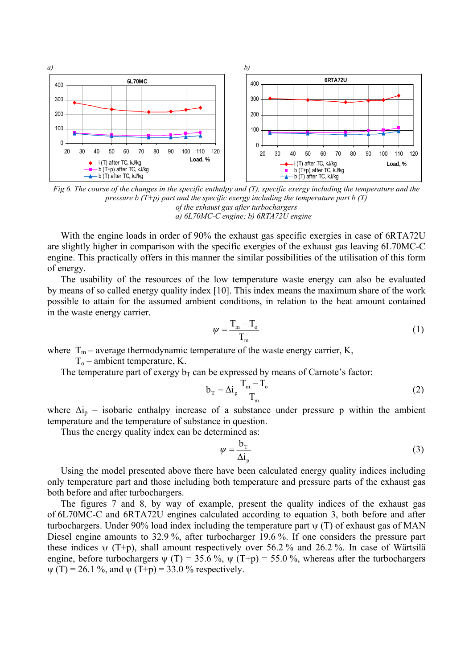

*Fig 6. The course of the changes in the specific enthalpy and (T), specific exergy including the temperature and the pressure b (T+p) part and the specific exergy including the temperature part b (T) of the exhaust gas after turbochargers a) 6L70MC-C engine; b) 6RTA72U engine* 

With the engine loads in order of 90% the exhaust gas specific exergies in case of 6RTA72U are slightly higher in comparison with the specific exergies of the exhaust gas leaving 6L70MC-C engine. This practically offers in this manner the similar possibilities of the utilisation of this form of energy.

The usability of the resources of the low temperature waste energy can also be evaluated by means of so called energy quality index [10]. This index means the maximum share of the work possible to attain for the assumed ambient conditions, in relation to the heat amount contained in the waste energy carrier.

$$
\psi = \frac{T_{\rm m} - T_{\rm o}}{T_{\rm m}}\tag{1}
$$

where  $T_m$  – average thermodynamic temperature of the waste energy carrier, K,

 $T<sub>o</sub>$  – ambient temperature, K.

The temperature part of exergy  $b<sub>T</sub>$  can be expressed by means of Carnote's factor:

$$
b_{\rm T} = \Delta i_{\rm p} \frac{T_{\rm m} - T_{\rm o}}{T_{\rm m}}
$$
 (2)

where  $\Delta i_p$  – isobaric enthalpy increase of a substance under pressure p within the ambient temperature and the temperature of substance in question.

Thus the energy quality index can be determined as:

$$
\psi = \frac{b_{\rm T}}{\Delta i_{\rm p}}\tag{3}
$$

Using the model presented above there have been calculated energy quality indices including only temperature part and those including both temperature and pressure parts of the exhaust gas both before and after turbochargers.

The figures 7 and 8, by way of example, present the quality indices of the exhaust gas of 6L70MC-C and 6RTA72U engines calculated according to equation 3, both before and after turbochargers. Under 90% load index including the temperature part ψ (T) of exhaust gas of MAN Diesel engine amounts to 32.9%, after turbocharger 19.6%. If one considers the pressure part these indices  $\psi$  (T+p), shall amount respectively over 56.2% and 26.2%. In case of Wärtsilä engine, before turbochargers  $\psi(T) = 35.6 \%$ ,  $\psi(T+p) = 55.0 \%$ , whereas after the turbochargers  $\psi$  (T) = 26.1 %, and  $\psi$  (T+p) = 33.0 % respectively.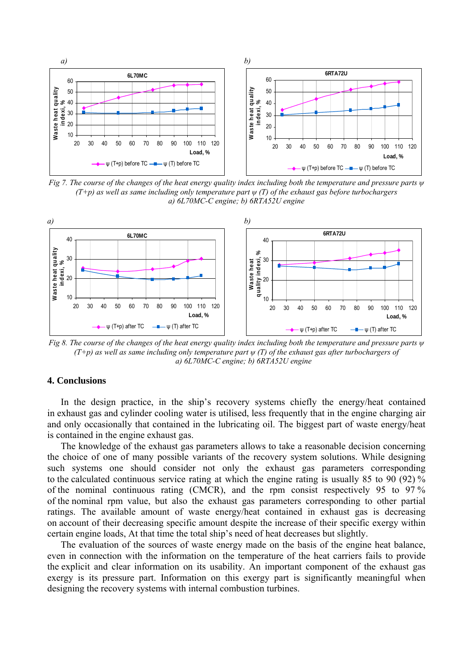

*Fig 7. The course of the changes of the heat energy quality index including both the temperature and pressure parts ψ (T+p) as well as same including only temperature part ψ (T) of the exhaust gas before turbochargers a) 6L70MC-C engine; b) 6RTA52U engine* 



*Fig 8. The course of the changes of the heat energy quality index including both the temperature and pressure parts ψ (T+p) as well as same including only temperature part ψ (T) of the exhaust gas after turbochargers of a) 6L70MC-C engine; b) 6RTA52U engine* 

# **4. Conclusions**

In the design practice, in the ship's recovery systems chiefly the energy/heat contained in exhaust gas and cylinder cooling water is utilised, less frequently that in the engine charging air and only occasionally that contained in the lubricating oil. The biggest part of waste energy/heat is contained in the engine exhaust gas.

The knowledge of the exhaust gas parameters allows to take a reasonable decision concerning the choice of one of many possible variants of the recovery system solutions. While designing such systems one should consider not only the exhaust gas parameters corresponding to the calculated continuous service rating at which the engine rating is usually 85 to 90 (92) % of the nominal continuous rating (CMCR), and the rpm consist respectively 95 to 97 % of the nominal rpm value, but also the exhaust gas parameters corresponding to other partial ratings. The available amount of waste energy/heat contained in exhaust gas is decreasing on account of their decreasing specific amount despite the increase of their specific exergy within certain engine loads, At that time the total ship's need of heat decreases but slightly.

The evaluation of the sources of waste energy made on the basis of the engine heat balance, even in connection with the information on the temperature of the heat carriers fails to provide the explicit and clear information on its usability. An important component of the exhaust gas exergy is its pressure part. Information on this exergy part is significantly meaningful when designing the recovery systems with internal combustion turbines.